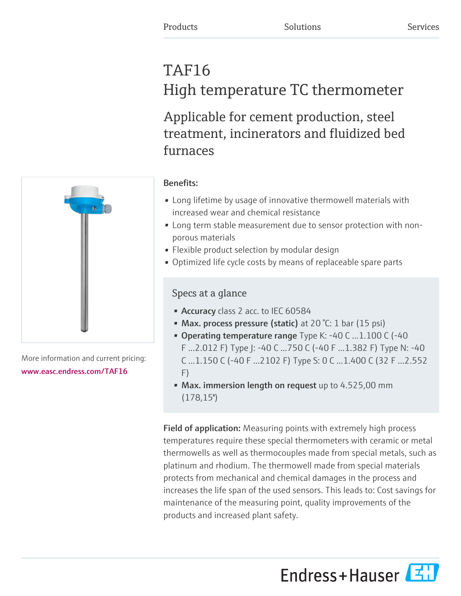# TAF16 High temperature TC thermometer

Applicable for cement production, steel treatment, incinerators and fluidized bed furnaces



More information and current pricing: [www.easc.endress.com/TAF16](https://www.easc.endress.com/TAF16)

# Benefits:

- Long lifetime by usage of innovative thermowell materials with increased wear and chemical resistance
- Long term stable measurement due to sensor protection with nonporous materials
- Flexible product selection by modular design
- Optimized life cycle costs by means of replaceable spare parts

# Specs at a glance

- Accuracy class 2 acc. to IEC 60584
- Max. process pressure (static) at 20 °C: 1 bar (15 psi)
- Operating temperature range Type K: -40 C ...1.100 C (-40 F ...2.012 F) Type J: -40 C ...750 C (-40 F ...1.382 F) Type N: -40 C ...1.150 C (-40 F ...2102 F) Type S: 0 C ...1.400 C (32 F ...2.552 F)
- Max. immersion length on request up to 4.525,00 mm  $(178,15")$

Field of application: Measuring points with extremely high process temperatures require these special thermometers with ceramic or metal thermowells as well as thermocouples made from special metals, such as platinum and rhodium. The thermowell made from special materials protects from mechanical and chemical damages in the process and increases the life span of the used sensors. This leads to: Cost savings for maintenance of the measuring point, quality improvements of the products and increased plant safety.

Endress+Hauser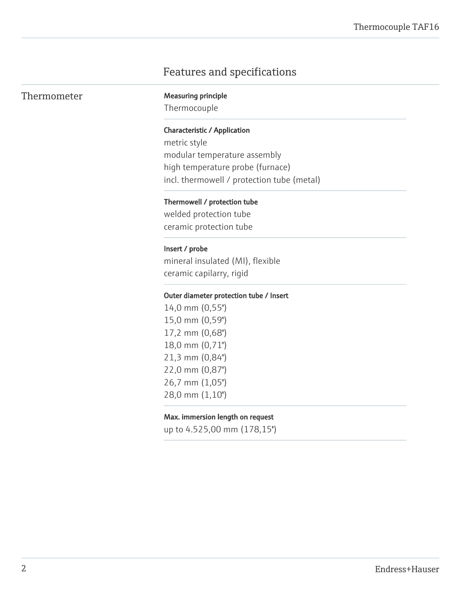# Features and specifications

|  |  |  | Thermometer |
|--|--|--|-------------|
|--|--|--|-------------|

**Measuring principle** 

Thermocouple

#### Characteristic / Application

metric style modular temperature assembly high temperature probe (furnace) incl. thermowell / protection tube (metal)

#### Thermowell / protection tube

welded protection tube ceramic protection tube

#### Insert / probe

mineral insulated (MI), flexible ceramic capilarry, rigid

#### Outer diameter protection tube / Insert

14,0 mm (0,55") 15,0 mm (0,59") 17,2 mm (0,68") 18,0 mm (0,71") 21,3 mm (0,84") 22,0 mm (0,87") 26,7 mm (1,05") 28,0 mm (1,10")

#### Max. immersion length on request

up to 4.525,00 mm (178,15'')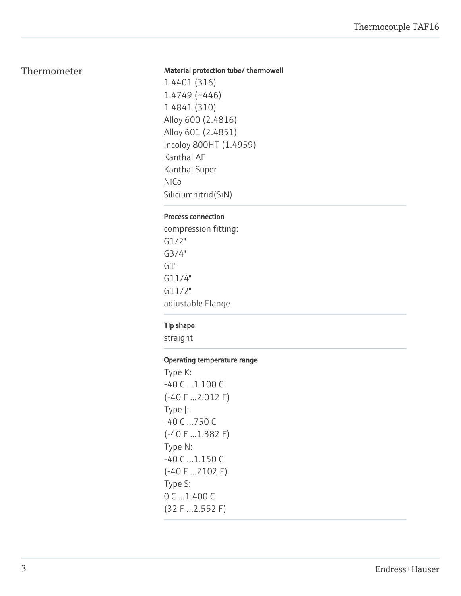# Thermometer

#### Material protection tube/ thermowell

1.4401 (316) 1.4749 (~446) 1.4841 (310) Alloy 600 (2.4816) Alloy 601 (2.4851) Incoloy 800HT (1.4959) Kanthal AF Kanthal Super NiCo Siliciumnitrid(SiN)

#### Process connection

compression fitting: G1/2" G3/4"  $G1"$ G11/4" G11/2" adjustable Flange

## Tip shape

straight

## Operating temperature range

Type K: -40 C ...1.100 C (-40 F ...2.012 F) Type J: -40 C ...750 C (-40 F ...1.382 F) Type N: -40 C ...1.150 C (-40 F ...2102 F) Type S: 0 C ...1.400 C (32 F ...2.552 F)